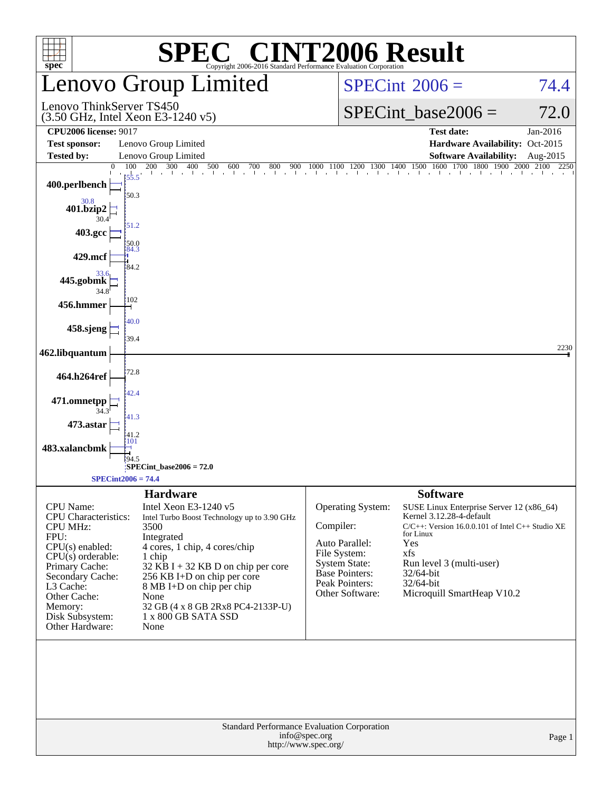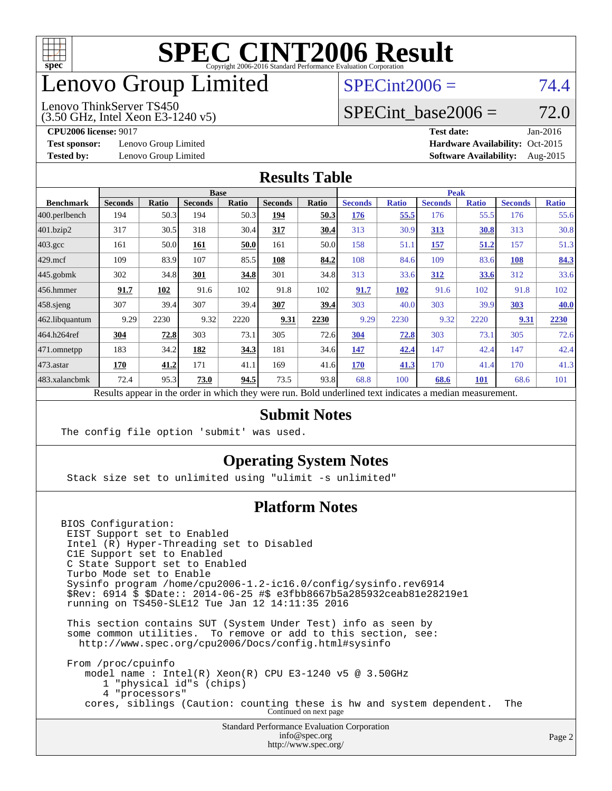

# enovo Group Limited

# $SPECint2006 = 74.4$  $SPECint2006 = 74.4$

Lenovo ThinkServer TS450

(3.50 GHz, Intel Xeon E3-1240 v5)

**[Test sponsor:](http://www.spec.org/auto/cpu2006/Docs/result-fields.html#Testsponsor)** Lenovo Group Limited **[Hardware Availability:](http://www.spec.org/auto/cpu2006/Docs/result-fields.html#HardwareAvailability)** Oct-2015

SPECint base2006 =  $72.0$ **[CPU2006 license:](http://www.spec.org/auto/cpu2006/Docs/result-fields.html#CPU2006license)** 9017 **[Test date:](http://www.spec.org/auto/cpu2006/Docs/result-fields.html#Testdate)** Jan-2016

**[Tested by:](http://www.spec.org/auto/cpu2006/Docs/result-fields.html#Testedby)** Lenovo Group Limited **[Software Availability:](http://www.spec.org/auto/cpu2006/Docs/result-fields.html#SoftwareAvailability)** Aug-2015

#### **[Results Table](http://www.spec.org/auto/cpu2006/Docs/result-fields.html#ResultsTable)**

|                                                                                                          | <b>Base</b>    |       |                |       |                |       | <b>Peak</b>    |              |                |              |                |              |
|----------------------------------------------------------------------------------------------------------|----------------|-------|----------------|-------|----------------|-------|----------------|--------------|----------------|--------------|----------------|--------------|
| <b>Benchmark</b>                                                                                         | <b>Seconds</b> | Ratio | <b>Seconds</b> | Ratio | <b>Seconds</b> | Ratio | <b>Seconds</b> | <b>Ratio</b> | <b>Seconds</b> | <b>Ratio</b> | <b>Seconds</b> | <b>Ratio</b> |
| $ 400$ .perlbench                                                                                        | 194            | 50.3  | 194            | 50.3  | 194            | 50.3  | 176            | 55.5         | 176            | 55.5         | 176            | 55.6         |
| 401.bzip2                                                                                                | 317            | 30.5  | 318            | 30.4  | 317            | 30.4  | 313            | 30.9         | <u>313</u>     | 30.8         | 313            | 30.8         |
| $403.\text{gcc}$                                                                                         | 161            | 50.0  | 161            | 50.0  | 161            | 50.0  | 158            | 51.1         | 157            | 51.2         | 157            | 51.3         |
| $429$ mcf                                                                                                | 109            | 83.9  | 107            | 85.5  | 108            | 84.2  | 108            | 84.6         | 109            | 83.6         | <b>108</b>     | 84.3         |
| $445$ .gobmk                                                                                             | 302            | 34.8  | 301            | 34.8  | 301            | 34.8  | 313            | 33.6         | 312            | 33.6         | 312            | 33.6         |
| $456.$ hmmer                                                                                             | 91.7           | 102   | 91.6           | 102   | 91.8           | 102   | 91.7           | 102          | 91.6           | 102          | 91.8           | 102          |
| $458$ .sjeng                                                                                             | 307            | 39.4  | 307            | 39.4  | 307            | 39.4  | 303            | 40.0         | 303            | 39.9         | 303            | 40.0         |
| 462.libquantum                                                                                           | 9.29           | 2230  | 9.32           | 2220  | 9.31           | 2230  | 9.29           | 2230         | 9.32           | 2220         | 9.31           | 2230         |
| 464.h264ref                                                                                              | 304            | 72.8  | 303            | 73.1  | 305            | 72.6  | 304            | 72.8         | 303            | 73.1         | 305            | 72.6         |
| 471.omnetpp                                                                                              | 183            | 34.2  | 182            | 34.3  | 181            | 34.6  | 147            | 42.4         | 147            | 42.4         | 147            | 42.4         |
| $473$ . astar                                                                                            | 170            | 41.2  | 171            | 41.1  | 169            | 41.6  | 170            | 41.3         | 170            | 41.4         | 170            | 41.3         |
| 483.xalancbmk                                                                                            | 72.4           | 95.3  | 73.0           | 94.5  | 73.5           | 93.8  | 68.8           | 100          | 68.6           | <b>101</b>   | 68.6           | 101          |
| Results appear in the order in which they were run. Bold underlined text indicates a median measurement. |                |       |                |       |                |       |                |              |                |              |                |              |

#### **[Submit Notes](http://www.spec.org/auto/cpu2006/Docs/result-fields.html#SubmitNotes)**

The config file option 'submit' was used.

### **[Operating System Notes](http://www.spec.org/auto/cpu2006/Docs/result-fields.html#OperatingSystemNotes)**

Stack size set to unlimited using "ulimit -s unlimited"

### **[Platform Notes](http://www.spec.org/auto/cpu2006/Docs/result-fields.html#PlatformNotes)**

BIOS Configuration: EIST Support set to Enabled Intel (R) Hyper-Threading set to Disabled C1E Support set to Enabled C State Support set to Enabled Turbo Mode set to Enable Sysinfo program /home/cpu2006-1.2-ic16.0/config/sysinfo.rev6914 \$Rev: 6914 \$ \$Date:: 2014-06-25 #\$ e3fbb8667b5a285932ceab81e28219e1 running on TS450-SLE12 Tue Jan 12 14:11:35 2016 This section contains SUT (System Under Test) info as seen by some common utilities. To remove or add to this section, see: <http://www.spec.org/cpu2006/Docs/config.html#sysinfo>

 From /proc/cpuinfo model name : Intel(R) Xeon(R) CPU E3-1240 v5 @ 3.50GHz 1 "physical id"s (chips) 4 "processors" cores, siblings (Caution: counting these is hw and system dependent. The Continued on next page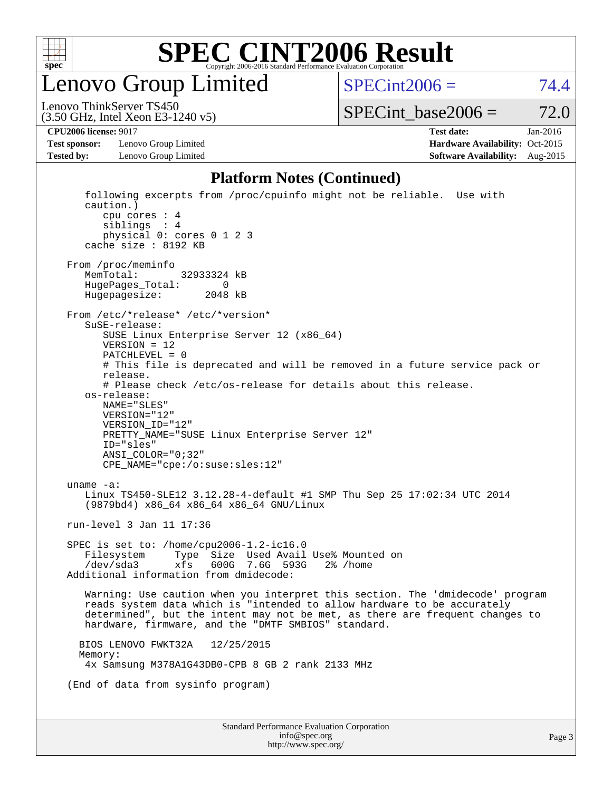

Lenovo Group Limited

 $SPECint2006 = 74.4$  $SPECint2006 = 74.4$ 

(3.50 GHz, Intel Xeon E3-1240 v5) Lenovo ThinkServer TS450

 $SPECTnt\_base2006 = 72.0$ 

**[Test sponsor:](http://www.spec.org/auto/cpu2006/Docs/result-fields.html#Testsponsor)** Lenovo Group Limited **[Hardware Availability:](http://www.spec.org/auto/cpu2006/Docs/result-fields.html#HardwareAvailability)** Oct-2015

**[CPU2006 license:](http://www.spec.org/auto/cpu2006/Docs/result-fields.html#CPU2006license)** 9017 **[Test date:](http://www.spec.org/auto/cpu2006/Docs/result-fields.html#Testdate)** Jan-2016 **[Tested by:](http://www.spec.org/auto/cpu2006/Docs/result-fields.html#Testedby)** Lenovo Group Limited **[Software Availability:](http://www.spec.org/auto/cpu2006/Docs/result-fields.html#SoftwareAvailability)** Aug-2015

### **[Platform Notes \(Continued\)](http://www.spec.org/auto/cpu2006/Docs/result-fields.html#PlatformNotes)**

| <b>Standard Performance Evaluation Corporation</b><br>info@spec.org                                                                                                                                                                                                                              |  |
|--------------------------------------------------------------------------------------------------------------------------------------------------------------------------------------------------------------------------------------------------------------------------------------------------|--|
|                                                                                                                                                                                                                                                                                                  |  |
| (End of data from sysinfo program)                                                                                                                                                                                                                                                               |  |
| 12/25/2015<br>BIOS LENOVO FWKT32A<br>Memory:<br>4x Samsung M378A1G43DB0-CPB 8 GB 2 rank 2133 MHz                                                                                                                                                                                                 |  |
| Warning: Use caution when you interpret this section. The 'dmidecode' program<br>reads system data which is "intended to allow hardware to be accurately<br>determined", but the intent may not be met, as there are frequent changes to<br>hardware, firmware, and the "DMTF SMBIOS" standard.  |  |
| SPEC is set to: /home/cpu2006-1.2-ic16.0<br>Type Size Used Avail Use% Mounted on<br>Filesystem<br>600G 7.6G 593G<br>/dev/sda3<br>xfs<br>$2\%$ /home<br>Additional information from dmidecode:                                                                                                    |  |
| run-level 3 Jan 11 17:36                                                                                                                                                                                                                                                                         |  |
| uname $-a$ :<br>Linux TS450-SLE12 3.12.28-4-default #1 SMP Thu Sep 25 17:02:34 UTC 2014<br>(9879bd4) x86_64 x86_64 x86_64 GNU/Linux                                                                                                                                                              |  |
| os-release:<br>NAME="SLES"<br>VERSION="12"<br>VERSION ID="12"<br>PRETTY_NAME="SUSE Linux Enterprise Server 12"<br>ID="sles"<br>$ANSI$ _COLOR=" $0:32$ "<br>CPE_NAME="cpe:/o:suse:sles:12"                                                                                                        |  |
| From /etc/*release* /etc/*version*<br>SuSE-release:<br>SUSE Linux Enterprise Server 12 (x86_64)<br>$VERSION = 12$<br>$PATCHLEVEL = 0$<br># This file is deprecated and will be removed in a future service pack or<br>release.<br># Please check /etc/os-release for details about this release. |  |
| From /proc/meminfo<br>MemTotal:<br>32933324 kB<br>HugePages_Total:<br>$\sim$ 0<br>Hugepagesize:<br>2048 kB                                                                                                                                                                                       |  |
| following excerpts from /proc/cpuinfo might not be reliable. Use with<br>caution.)<br>cpu cores $: 4$<br>sibling: 4<br>physical 0: cores 0 1 2 3<br>cache size : 8192 KB                                                                                                                         |  |

<http://www.spec.org/>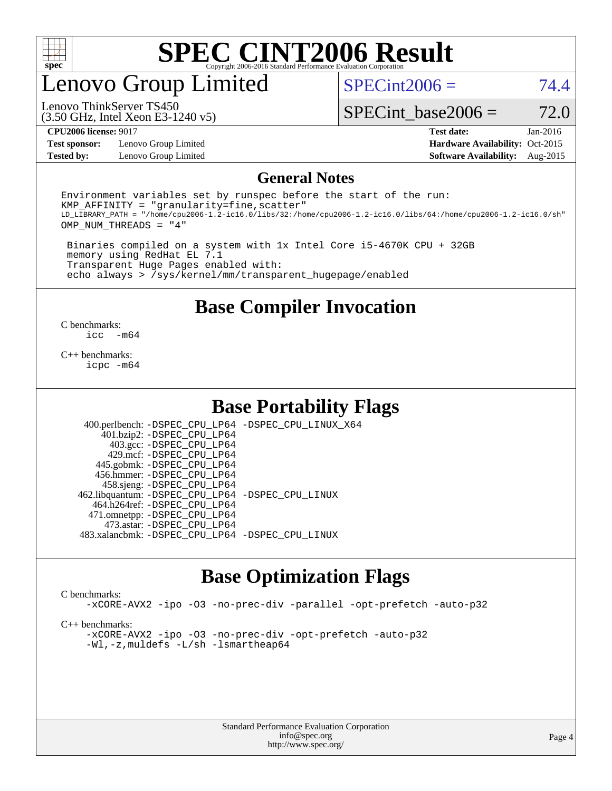

# enovo Group Limited

 $SPECint2006 = 74.4$  $SPECint2006 = 74.4$ 

(3.50 GHz, Intel Xeon E3-1240 v5) Lenovo ThinkServer TS450

SPECint base2006 =  $72.0$ 

**[Test sponsor:](http://www.spec.org/auto/cpu2006/Docs/result-fields.html#Testsponsor)** Lenovo Group Limited **[Hardware Availability:](http://www.spec.org/auto/cpu2006/Docs/result-fields.html#HardwareAvailability)** Oct-2015

**[CPU2006 license:](http://www.spec.org/auto/cpu2006/Docs/result-fields.html#CPU2006license)** 9017 **[Test date:](http://www.spec.org/auto/cpu2006/Docs/result-fields.html#Testdate)** Jan-2016 **[Tested by:](http://www.spec.org/auto/cpu2006/Docs/result-fields.html#Testedby)** Lenovo Group Limited **[Software Availability:](http://www.spec.org/auto/cpu2006/Docs/result-fields.html#SoftwareAvailability)** Aug-2015

#### **[General Notes](http://www.spec.org/auto/cpu2006/Docs/result-fields.html#GeneralNotes)**

Environment variables set by runspec before the start of the run:  $KMP$  AFFINITY = "granularity=fine, scatter" LD\_LIBRARY\_PATH = "/home/cpu2006-1.2-ic16.0/libs/32:/home/cpu2006-1.2-ic16.0/libs/64:/home/cpu2006-1.2-ic16.0/sh" OMP\_NUM\_THREADS = "4"

 Binaries compiled on a system with 1x Intel Core i5-4670K CPU + 32GB memory using RedHat EL 7.1 Transparent Huge Pages enabled with: echo always > /sys/kernel/mm/transparent\_hugepage/enabled

**[Base Compiler Invocation](http://www.spec.org/auto/cpu2006/Docs/result-fields.html#BaseCompilerInvocation)**

 $\frac{C \text{ benchmarks:}}{C \text{ C}}$ -m64

[C++ benchmarks:](http://www.spec.org/auto/cpu2006/Docs/result-fields.html#CXXbenchmarks) [icpc -m64](http://www.spec.org/cpu2006/results/res2016q1/cpu2006-20160125-38896.flags.html#user_CXXbase_intel_icpc_64bit_fc66a5337ce925472a5c54ad6a0de310)

### **[Base Portability Flags](http://www.spec.org/auto/cpu2006/Docs/result-fields.html#BasePortabilityFlags)**

 400.perlbench: [-DSPEC\\_CPU\\_LP64](http://www.spec.org/cpu2006/results/res2016q1/cpu2006-20160125-38896.flags.html#b400.perlbench_basePORTABILITY_DSPEC_CPU_LP64) [-DSPEC\\_CPU\\_LINUX\\_X64](http://www.spec.org/cpu2006/results/res2016q1/cpu2006-20160125-38896.flags.html#b400.perlbench_baseCPORTABILITY_DSPEC_CPU_LINUX_X64) 401.bzip2: [-DSPEC\\_CPU\\_LP64](http://www.spec.org/cpu2006/results/res2016q1/cpu2006-20160125-38896.flags.html#suite_basePORTABILITY401_bzip2_DSPEC_CPU_LP64) 403.gcc: [-DSPEC\\_CPU\\_LP64](http://www.spec.org/cpu2006/results/res2016q1/cpu2006-20160125-38896.flags.html#suite_basePORTABILITY403_gcc_DSPEC_CPU_LP64) 429.mcf: [-DSPEC\\_CPU\\_LP64](http://www.spec.org/cpu2006/results/res2016q1/cpu2006-20160125-38896.flags.html#suite_basePORTABILITY429_mcf_DSPEC_CPU_LP64) 445.gobmk: [-DSPEC\\_CPU\\_LP64](http://www.spec.org/cpu2006/results/res2016q1/cpu2006-20160125-38896.flags.html#suite_basePORTABILITY445_gobmk_DSPEC_CPU_LP64) 456.hmmer: [-DSPEC\\_CPU\\_LP64](http://www.spec.org/cpu2006/results/res2016q1/cpu2006-20160125-38896.flags.html#suite_basePORTABILITY456_hmmer_DSPEC_CPU_LP64) 458.sjeng: [-DSPEC\\_CPU\\_LP64](http://www.spec.org/cpu2006/results/res2016q1/cpu2006-20160125-38896.flags.html#suite_basePORTABILITY458_sjeng_DSPEC_CPU_LP64) 462.libquantum: [-DSPEC\\_CPU\\_LP64](http://www.spec.org/cpu2006/results/res2016q1/cpu2006-20160125-38896.flags.html#suite_basePORTABILITY462_libquantum_DSPEC_CPU_LP64) [-DSPEC\\_CPU\\_LINUX](http://www.spec.org/cpu2006/results/res2016q1/cpu2006-20160125-38896.flags.html#b462.libquantum_baseCPORTABILITY_DSPEC_CPU_LINUX) 464.h264ref: [-DSPEC\\_CPU\\_LP64](http://www.spec.org/cpu2006/results/res2016q1/cpu2006-20160125-38896.flags.html#suite_basePORTABILITY464_h264ref_DSPEC_CPU_LP64) 471.omnetpp: [-DSPEC\\_CPU\\_LP64](http://www.spec.org/cpu2006/results/res2016q1/cpu2006-20160125-38896.flags.html#suite_basePORTABILITY471_omnetpp_DSPEC_CPU_LP64) 473.astar: [-DSPEC\\_CPU\\_LP64](http://www.spec.org/cpu2006/results/res2016q1/cpu2006-20160125-38896.flags.html#suite_basePORTABILITY473_astar_DSPEC_CPU_LP64) 483.xalancbmk: [-DSPEC\\_CPU\\_LP64](http://www.spec.org/cpu2006/results/res2016q1/cpu2006-20160125-38896.flags.html#suite_basePORTABILITY483_xalancbmk_DSPEC_CPU_LP64) [-DSPEC\\_CPU\\_LINUX](http://www.spec.org/cpu2006/results/res2016q1/cpu2006-20160125-38896.flags.html#b483.xalancbmk_baseCXXPORTABILITY_DSPEC_CPU_LINUX)

# **[Base Optimization Flags](http://www.spec.org/auto/cpu2006/Docs/result-fields.html#BaseOptimizationFlags)**

[C benchmarks](http://www.spec.org/auto/cpu2006/Docs/result-fields.html#Cbenchmarks):

[-xCORE-AVX2](http://www.spec.org/cpu2006/results/res2016q1/cpu2006-20160125-38896.flags.html#user_CCbase_f-xAVX2_5f5fc0cbe2c9f62c816d3e45806c70d7) [-ipo](http://www.spec.org/cpu2006/results/res2016q1/cpu2006-20160125-38896.flags.html#user_CCbase_f-ipo) [-O3](http://www.spec.org/cpu2006/results/res2016q1/cpu2006-20160125-38896.flags.html#user_CCbase_f-O3) [-no-prec-div](http://www.spec.org/cpu2006/results/res2016q1/cpu2006-20160125-38896.flags.html#user_CCbase_f-no-prec-div) [-parallel](http://www.spec.org/cpu2006/results/res2016q1/cpu2006-20160125-38896.flags.html#user_CCbase_f-parallel) [-opt-prefetch](http://www.spec.org/cpu2006/results/res2016q1/cpu2006-20160125-38896.flags.html#user_CCbase_f-opt-prefetch) [-auto-p32](http://www.spec.org/cpu2006/results/res2016q1/cpu2006-20160125-38896.flags.html#user_CCbase_f-auto-p32)

[C++ benchmarks:](http://www.spec.org/auto/cpu2006/Docs/result-fields.html#CXXbenchmarks)

[-xCORE-AVX2](http://www.spec.org/cpu2006/results/res2016q1/cpu2006-20160125-38896.flags.html#user_CXXbase_f-xAVX2_5f5fc0cbe2c9f62c816d3e45806c70d7) [-ipo](http://www.spec.org/cpu2006/results/res2016q1/cpu2006-20160125-38896.flags.html#user_CXXbase_f-ipo) [-O3](http://www.spec.org/cpu2006/results/res2016q1/cpu2006-20160125-38896.flags.html#user_CXXbase_f-O3) [-no-prec-div](http://www.spec.org/cpu2006/results/res2016q1/cpu2006-20160125-38896.flags.html#user_CXXbase_f-no-prec-div) [-opt-prefetch](http://www.spec.org/cpu2006/results/res2016q1/cpu2006-20160125-38896.flags.html#user_CXXbase_f-opt-prefetch) [-auto-p32](http://www.spec.org/cpu2006/results/res2016q1/cpu2006-20160125-38896.flags.html#user_CXXbase_f-auto-p32) [-Wl,-z,muldefs](http://www.spec.org/cpu2006/results/res2016q1/cpu2006-20160125-38896.flags.html#user_CXXbase_link_force_multiple1_74079c344b956b9658436fd1b6dd3a8a) [-L/sh -lsmartheap64](http://www.spec.org/cpu2006/results/res2016q1/cpu2006-20160125-38896.flags.html#user_CXXbase_SmartHeap64_ed4ef857ce90951921efb0d91eb88472)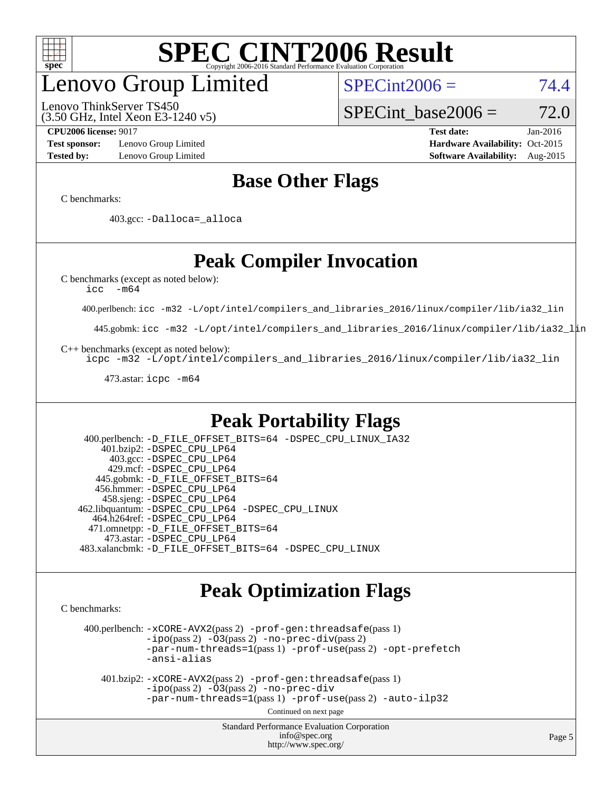

# enovo Group Limited

(3.50 GHz, Intel Xeon E3-1240 v5) Lenovo ThinkServer TS450

 $SPECint2006 = 74.4$  $SPECint2006 = 74.4$ 

SPECint base2006 =  $72.0$ 

**[Test sponsor:](http://www.spec.org/auto/cpu2006/Docs/result-fields.html#Testsponsor)** Lenovo Group Limited **[Hardware Availability:](http://www.spec.org/auto/cpu2006/Docs/result-fields.html#HardwareAvailability)** Oct-2015

**[CPU2006 license:](http://www.spec.org/auto/cpu2006/Docs/result-fields.html#CPU2006license)** 9017 **[Test date:](http://www.spec.org/auto/cpu2006/Docs/result-fields.html#Testdate)** Jan-2016 **[Tested by:](http://www.spec.org/auto/cpu2006/Docs/result-fields.html#Testedby)** Lenovo Group Limited **[Software Availability:](http://www.spec.org/auto/cpu2006/Docs/result-fields.html#SoftwareAvailability)** Aug-2015

# **[Base Other Flags](http://www.spec.org/auto/cpu2006/Docs/result-fields.html#BaseOtherFlags)**

[C benchmarks](http://www.spec.org/auto/cpu2006/Docs/result-fields.html#Cbenchmarks):

403.gcc: [-Dalloca=\\_alloca](http://www.spec.org/cpu2006/results/res2016q1/cpu2006-20160125-38896.flags.html#b403.gcc_baseEXTRA_CFLAGS_Dalloca_be3056838c12de2578596ca5467af7f3)

# **[Peak Compiler Invocation](http://www.spec.org/auto/cpu2006/Docs/result-fields.html#PeakCompilerInvocation)**

[C benchmarks \(except as noted below\)](http://www.spec.org/auto/cpu2006/Docs/result-fields.html#Cbenchmarksexceptasnotedbelow):

[icc -m64](http://www.spec.org/cpu2006/results/res2016q1/cpu2006-20160125-38896.flags.html#user_CCpeak_intel_icc_64bit_f346026e86af2a669e726fe758c88044)

400.perlbench: [icc -m32 -L/opt/intel/compilers\\_and\\_libraries\\_2016/linux/compiler/lib/ia32\\_lin](http://www.spec.org/cpu2006/results/res2016q1/cpu2006-20160125-38896.flags.html#user_peakCCLD400_perlbench_intel_icc_e10256ba5924b668798078a321b0cb3f)

445.gobmk: [icc -m32 -L/opt/intel/compilers\\_and\\_libraries\\_2016/linux/compiler/lib/ia32\\_lin](http://www.spec.org/cpu2006/results/res2016q1/cpu2006-20160125-38896.flags.html#user_peakCCLD445_gobmk_intel_icc_e10256ba5924b668798078a321b0cb3f)

[C++ benchmarks \(except as noted below\):](http://www.spec.org/auto/cpu2006/Docs/result-fields.html#CXXbenchmarksexceptasnotedbelow)

[icpc -m32 -L/opt/intel/compilers\\_and\\_libraries\\_2016/linux/compiler/lib/ia32\\_lin](http://www.spec.org/cpu2006/results/res2016q1/cpu2006-20160125-38896.flags.html#user_CXXpeak_intel_icpc_b4f50a394bdb4597aa5879c16bc3f5c5)

473.astar: [icpc -m64](http://www.spec.org/cpu2006/results/res2016q1/cpu2006-20160125-38896.flags.html#user_peakCXXLD473_astar_intel_icpc_64bit_fc66a5337ce925472a5c54ad6a0de310)

# **[Peak Portability Flags](http://www.spec.org/auto/cpu2006/Docs/result-fields.html#PeakPortabilityFlags)**

 400.perlbench: [-D\\_FILE\\_OFFSET\\_BITS=64](http://www.spec.org/cpu2006/results/res2016q1/cpu2006-20160125-38896.flags.html#user_peakPORTABILITY400_perlbench_file_offset_bits_64_438cf9856305ebd76870a2c6dc2689ab) [-DSPEC\\_CPU\\_LINUX\\_IA32](http://www.spec.org/cpu2006/results/res2016q1/cpu2006-20160125-38896.flags.html#b400.perlbench_peakCPORTABILITY_DSPEC_CPU_LINUX_IA32) 401.bzip2: [-DSPEC\\_CPU\\_LP64](http://www.spec.org/cpu2006/results/res2016q1/cpu2006-20160125-38896.flags.html#suite_peakPORTABILITY401_bzip2_DSPEC_CPU_LP64) 403.gcc: [-DSPEC\\_CPU\\_LP64](http://www.spec.org/cpu2006/results/res2016q1/cpu2006-20160125-38896.flags.html#suite_peakPORTABILITY403_gcc_DSPEC_CPU_LP64) 429.mcf: [-DSPEC\\_CPU\\_LP64](http://www.spec.org/cpu2006/results/res2016q1/cpu2006-20160125-38896.flags.html#suite_peakPORTABILITY429_mcf_DSPEC_CPU_LP64) 445.gobmk: [-D\\_FILE\\_OFFSET\\_BITS=64](http://www.spec.org/cpu2006/results/res2016q1/cpu2006-20160125-38896.flags.html#user_peakPORTABILITY445_gobmk_file_offset_bits_64_438cf9856305ebd76870a2c6dc2689ab) 456.hmmer: [-DSPEC\\_CPU\\_LP64](http://www.spec.org/cpu2006/results/res2016q1/cpu2006-20160125-38896.flags.html#suite_peakPORTABILITY456_hmmer_DSPEC_CPU_LP64) 458.sjeng: [-DSPEC\\_CPU\\_LP64](http://www.spec.org/cpu2006/results/res2016q1/cpu2006-20160125-38896.flags.html#suite_peakPORTABILITY458_sjeng_DSPEC_CPU_LP64) 462.libquantum: [-DSPEC\\_CPU\\_LP64](http://www.spec.org/cpu2006/results/res2016q1/cpu2006-20160125-38896.flags.html#suite_peakPORTABILITY462_libquantum_DSPEC_CPU_LP64) [-DSPEC\\_CPU\\_LINUX](http://www.spec.org/cpu2006/results/res2016q1/cpu2006-20160125-38896.flags.html#b462.libquantum_peakCPORTABILITY_DSPEC_CPU_LINUX) 464.h264ref: [-DSPEC\\_CPU\\_LP64](http://www.spec.org/cpu2006/results/res2016q1/cpu2006-20160125-38896.flags.html#suite_peakPORTABILITY464_h264ref_DSPEC_CPU_LP64) 471.omnetpp: [-D\\_FILE\\_OFFSET\\_BITS=64](http://www.spec.org/cpu2006/results/res2016q1/cpu2006-20160125-38896.flags.html#user_peakPORTABILITY471_omnetpp_file_offset_bits_64_438cf9856305ebd76870a2c6dc2689ab) 473.astar: [-DSPEC\\_CPU\\_LP64](http://www.spec.org/cpu2006/results/res2016q1/cpu2006-20160125-38896.flags.html#suite_peakPORTABILITY473_astar_DSPEC_CPU_LP64) 483.xalancbmk: [-D\\_FILE\\_OFFSET\\_BITS=64](http://www.spec.org/cpu2006/results/res2016q1/cpu2006-20160125-38896.flags.html#user_peakPORTABILITY483_xalancbmk_file_offset_bits_64_438cf9856305ebd76870a2c6dc2689ab) [-DSPEC\\_CPU\\_LINUX](http://www.spec.org/cpu2006/results/res2016q1/cpu2006-20160125-38896.flags.html#b483.xalancbmk_peakCXXPORTABILITY_DSPEC_CPU_LINUX)

# **[Peak Optimization Flags](http://www.spec.org/auto/cpu2006/Docs/result-fields.html#PeakOptimizationFlags)**

[C benchmarks](http://www.spec.org/auto/cpu2006/Docs/result-fields.html#Cbenchmarks):

 400.perlbench: [-xCORE-AVX2](http://www.spec.org/cpu2006/results/res2016q1/cpu2006-20160125-38896.flags.html#user_peakPASS2_CFLAGSPASS2_LDCFLAGS400_perlbench_f-xAVX2_5f5fc0cbe2c9f62c816d3e45806c70d7)(pass 2) [-prof-gen:threadsafe](http://www.spec.org/cpu2006/results/res2016q1/cpu2006-20160125-38896.flags.html#user_peakPASS1_CFLAGSPASS1_LDCFLAGS400_perlbench_prof_gen_21a26eb79f378b550acd7bec9fe4467a)(pass 1)  $-i\text{po}(pass 2) -\tilde{O}3(pass 2)$  [-no-prec-div](http://www.spec.org/cpu2006/results/res2016q1/cpu2006-20160125-38896.flags.html#user_peakPASS2_CFLAGSPASS2_LDCFLAGS400_perlbench_f-no-prec-div)(pass 2) [-par-num-threads=1](http://www.spec.org/cpu2006/results/res2016q1/cpu2006-20160125-38896.flags.html#user_peakPASS1_CFLAGSPASS1_LDCFLAGS400_perlbench_par_num_threads_786a6ff141b4e9e90432e998842df6c2)(pass 1) [-prof-use](http://www.spec.org/cpu2006/results/res2016q1/cpu2006-20160125-38896.flags.html#user_peakPASS2_CFLAGSPASS2_LDCFLAGS400_perlbench_prof_use_bccf7792157ff70d64e32fe3e1250b55)(pass 2) [-opt-prefetch](http://www.spec.org/cpu2006/results/res2016q1/cpu2006-20160125-38896.flags.html#user_peakCOPTIMIZE400_perlbench_f-opt-prefetch) [-ansi-alias](http://www.spec.org/cpu2006/results/res2016q1/cpu2006-20160125-38896.flags.html#user_peakCOPTIMIZE400_perlbench_f-ansi-alias)

 401.bzip2: [-xCORE-AVX2](http://www.spec.org/cpu2006/results/res2016q1/cpu2006-20160125-38896.flags.html#user_peakPASS2_CFLAGSPASS2_LDCFLAGS401_bzip2_f-xAVX2_5f5fc0cbe2c9f62c816d3e45806c70d7)(pass 2) [-prof-gen:threadsafe](http://www.spec.org/cpu2006/results/res2016q1/cpu2006-20160125-38896.flags.html#user_peakPASS1_CFLAGSPASS1_LDCFLAGS401_bzip2_prof_gen_21a26eb79f378b550acd7bec9fe4467a)(pass 1)  $-i\text{po}(\text{pass 2})$  - $\overline{O}3(\text{pass 2})$  [-no-prec-div](http://www.spec.org/cpu2006/results/res2016q1/cpu2006-20160125-38896.flags.html#user_peakCOPTIMIZEPASS2_CFLAGSPASS2_LDCFLAGS401_bzip2_f-no-prec-div) [-par-num-threads=1](http://www.spec.org/cpu2006/results/res2016q1/cpu2006-20160125-38896.flags.html#user_peakPASS1_CFLAGSPASS1_LDCFLAGS401_bzip2_par_num_threads_786a6ff141b4e9e90432e998842df6c2)(pass 1) [-prof-use](http://www.spec.org/cpu2006/results/res2016q1/cpu2006-20160125-38896.flags.html#user_peakPASS2_CFLAGSPASS2_LDCFLAGS401_bzip2_prof_use_bccf7792157ff70d64e32fe3e1250b55)(pass 2) [-auto-ilp32](http://www.spec.org/cpu2006/results/res2016q1/cpu2006-20160125-38896.flags.html#user_peakCOPTIMIZE401_bzip2_f-auto-ilp32)

Continued on next page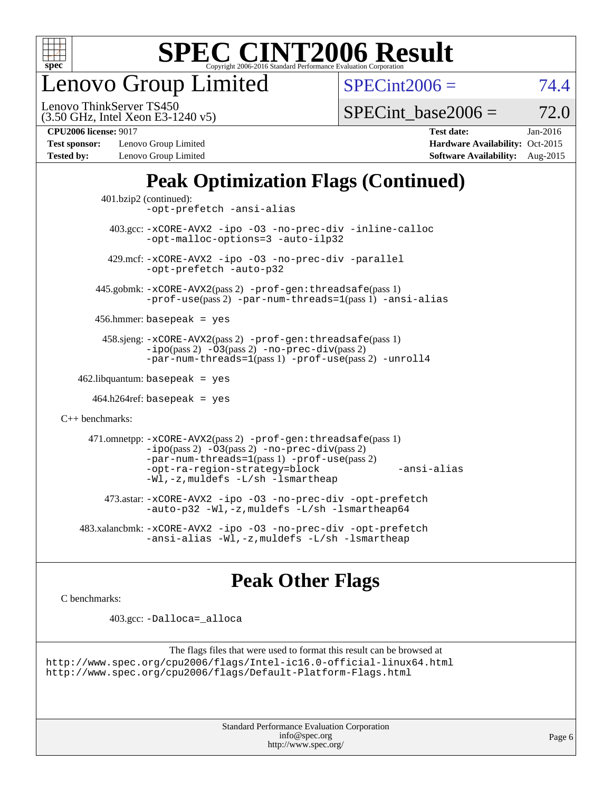

enovo Group Limited

 $SPECint2006 = 74.4$  $SPECint2006 = 74.4$ 

(3.50 GHz, Intel Xeon E3-1240 v5) Lenovo ThinkServer TS450

SPECint base2006 =  $72.0$ 

**[Test sponsor:](http://www.spec.org/auto/cpu2006/Docs/result-fields.html#Testsponsor)** Lenovo Group Limited **[Hardware Availability:](http://www.spec.org/auto/cpu2006/Docs/result-fields.html#HardwareAvailability)** Oct-2015 **[Tested by:](http://www.spec.org/auto/cpu2006/Docs/result-fields.html#Testedby)** Lenovo Group Limited **[Software Availability:](http://www.spec.org/auto/cpu2006/Docs/result-fields.html#SoftwareAvailability)** Aug-2015

**[CPU2006 license:](http://www.spec.org/auto/cpu2006/Docs/result-fields.html#CPU2006license)** 9017 **[Test date:](http://www.spec.org/auto/cpu2006/Docs/result-fields.html#Testdate)** Jan-2016

# **[Peak Optimization Flags \(Continued\)](http://www.spec.org/auto/cpu2006/Docs/result-fields.html#PeakOptimizationFlags)**

```
 401.bzip2 (continued):
                -opt-prefetch -ansi-alias
          403.gcc: -xCORE-AVX2 -ipo -O3 -no-prec-div -inline-calloc
                -opt-malloc-options=3 -auto-ilp32
         429.mcf: -xCORE-AVX2 -ipo -O3 -no-prec-div -parallel
                -opt-prefetch -auto-p32
       445.gobmk: -xCORE-AVX2(pass 2) -prof-gen:threadsafe(pass 1)
                -prof-use(pass 2) -par-num-threads=1(pass 1) -ansi-alias
       456.hmmer: basepeak = yes
        458.sjeng: -xCORE-AVX2(pass 2) -prof-gen:threadsafe(pass 1)
                -i\text{po}(pass 2) -\tilde{O}3(pass 2)-no-prec-div(pass 2)
                -par-num-threads=1(pass 1) -prof-use(pass 2) -unroll4
   462.libquantum: basepeak = yes
     464.h264ref: basepeak = yes
C++ benchmarks: 
      471.omnetpp: -xCORE-AVX2(pass 2) -prof-gen:threadsafe(pass 1)
                -i\text{po}(pass 2) -\overline{O}3(pass 2) -no-\overline{prec}\-div(pass 2)-par-num-threads=1(pass 1) -prof-use(pass 2)
                -opt-ra-region-strategy=block -ansi-alias
                -Wl,-z,muldefs -L/sh -lsmartheap
         473.astar: -xCORE-AVX2 -ipo -O3 -no-prec-div -opt-prefetch
                -auto-p32 -Wl,-z,muldefs -L/sh -lsmartheap64
    483.xalancbmk: -xCORE-AVX2 -ipo -O3 -no-prec-div -opt-prefetch
                -ansi-alias -Wl,-z,muldefs -L/sh -lsmartheap
```
# **[Peak Other Flags](http://www.spec.org/auto/cpu2006/Docs/result-fields.html#PeakOtherFlags)**

[C benchmarks](http://www.spec.org/auto/cpu2006/Docs/result-fields.html#Cbenchmarks):

403.gcc: [-Dalloca=\\_alloca](http://www.spec.org/cpu2006/results/res2016q1/cpu2006-20160125-38896.flags.html#b403.gcc_peakEXTRA_CFLAGS_Dalloca_be3056838c12de2578596ca5467af7f3)

```
The flags files that were used to format this result can be browsed at
http://www.spec.org/cpu2006/flags/Intel-ic16.0-official-linux64.html
http://www.spec.org/cpu2006/flags/Default-Platform-Flags.html
```